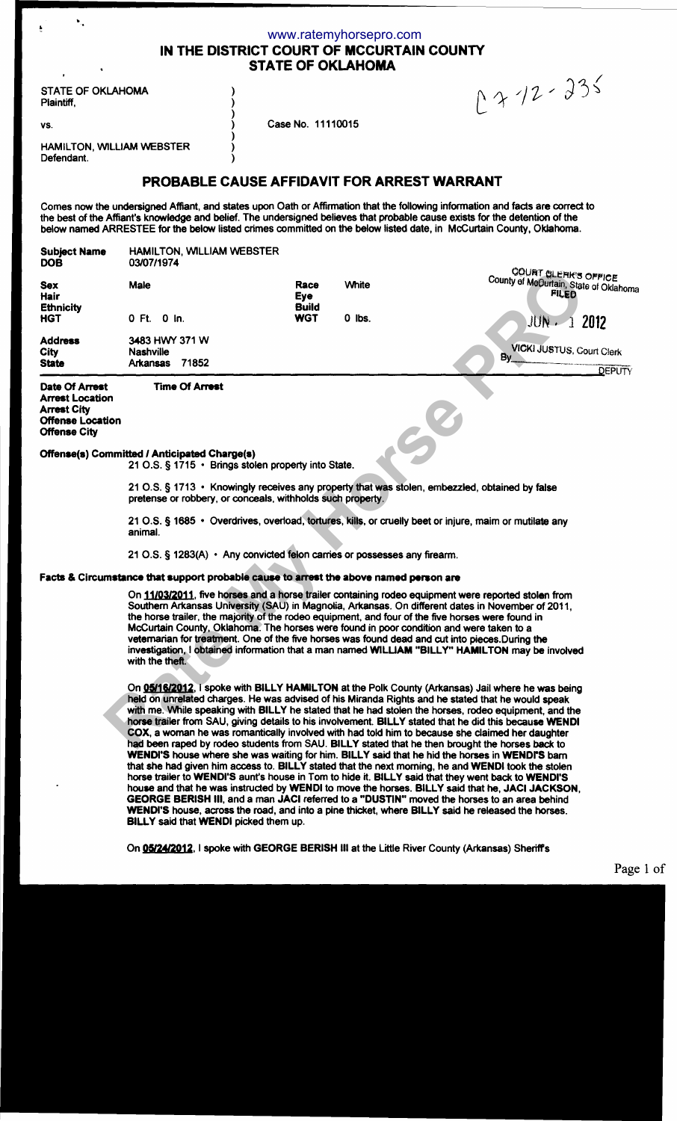|                                           | www.ratemyhorsepro.com   |              |
|-------------------------------------------|--------------------------|--------------|
| IN THE DISTRICT COURT OF MCCURTAIN COUNTY |                          |              |
|                                           | <b>STATE OF OKLAHOMA</b> |              |
|                                           |                          |              |
|                                           |                          | $0212 - 235$ |
|                                           |                          |              |

| <b>STATE OF OKLAHOMA</b> |  |
|--------------------------|--|
| Plaintiff.               |  |

vs. **Case No. 11110015** 

HAMILTON, WILLIAM WEBSTER Defendant.

# PROBABLE CAUSE AFFIDAVIT FOR ARREST WARRANT

Comes now the undersigned Affiant, and states upon Oath or Affirmation that the following information and facts are correct to the best of the Affiant's knowledge and belief. The undersigned believes that probable cause exists for the detention of the below named ARRESTEE for the below listed crimes committed on the below listed date, in McCurtain County, Oklahoma.

| <b>Subject Name</b><br><b>DOB</b>                                                                         | HAMILTON, WILLIAM WEBSTER<br>03/07/1974                                                                    |                     |              |                                                                                                                                                                                                                                                                                                                                                                                                                                                                                                                                                                                                                               |
|-----------------------------------------------------------------------------------------------------------|------------------------------------------------------------------------------------------------------------|---------------------|--------------|-------------------------------------------------------------------------------------------------------------------------------------------------------------------------------------------------------------------------------------------------------------------------------------------------------------------------------------------------------------------------------------------------------------------------------------------------------------------------------------------------------------------------------------------------------------------------------------------------------------------------------|
| <b>Sex</b><br>Hair                                                                                        | Male                                                                                                       | Race<br><b>Eye</b>  | <b>White</b> | <b>COURT CLERK'S OFFICE</b><br>County of MeOurtain, State of Oklahoma<br><b>FILED</b>                                                                                                                                                                                                                                                                                                                                                                                                                                                                                                                                         |
| <b>Ethnicity</b><br><b>HGT</b>                                                                            | 0 Ft. 0 In.                                                                                                | Build<br><b>WGT</b> | $0$ lbs.     | JUN - 1 2012                                                                                                                                                                                                                                                                                                                                                                                                                                                                                                                                                                                                                  |
| Address<br><b>City</b><br><b>State</b>                                                                    | 3483 HWY 371 W<br><b>Nashville</b><br><b>Arkansas</b><br>71852                                             |                     |              | <b>VICKI JUSTUS, Court Clerk</b><br>$By_{-}$<br><b>DEPUTY</b>                                                                                                                                                                                                                                                                                                                                                                                                                                                                                                                                                                 |
| Date Of Arrest<br>Arrest Location<br><b>Arrest City</b><br><b>Offense Location</b><br><b>Offense City</b> | <b>Time Of Arrest</b>                                                                                      |                     |              |                                                                                                                                                                                                                                                                                                                                                                                                                                                                                                                                                                                                                               |
|                                                                                                           | Offense(s) Committed / Anticipated Charge(s)<br>21 O.S. § 1715 • Brings stolen property into State.        |                     |              |                                                                                                                                                                                                                                                                                                                                                                                                                                                                                                                                                                                                                               |
|                                                                                                           | pretense or robbery, or conceals, withholds such property.                                                 |                     |              | 21 O.S. § 1713 • Knowingly receives any property that was stolen, embezzled, obtained by false                                                                                                                                                                                                                                                                                                                                                                                                                                                                                                                                |
|                                                                                                           | animal.                                                                                                    |                     |              | 21 O.S. § 1685 • Overdrives, overload, tortures, kills, or cruelly beet or injure, maim or mutilate any                                                                                                                                                                                                                                                                                                                                                                                                                                                                                                                       |
|                                                                                                           | 21 O.S. § 1283(A) • Any convicted felon carries or possesses any firearm.                                  |                     |              |                                                                                                                                                                                                                                                                                                                                                                                                                                                                                                                                                                                                                               |
|                                                                                                           | Facts & Circumstance that support probable cause to arrest the above named person are                      |                     |              |                                                                                                                                                                                                                                                                                                                                                                                                                                                                                                                                                                                                                               |
|                                                                                                           | McCurtain County, Oklahoma. The horses were found in poor condition and were taken to a<br>with the theft. |                     |              | On 11/03/2011, five horses and a horse trailer containing rodeo equipment were reported stolen from<br>Southern Arkansas University (SAU) in Magnolia, Arkansas. On different dates in November of 2011,<br>the horse trailer, the majority of the rodeo equipment, and four of the five horses were found in<br>veternarian for treatment. One of the five horses was found dead and cut into pieces. During the<br>investigation, I obtained information that a man named WILLIAM "BILLY" HAMILTON may be involved                                                                                                          |
|                                                                                                           |                                                                                                            |                     |              | On 05/16/2012, I spoke with BILLY HAMILTON at the Polk County (Arkansas) Jail where he was being<br>held on unrelated charges. He was advised of his Miranda Rights and he stated that he would speak<br>with me. While speaking with BILLY he stated that he had stolen the horses, rodeo equipment, and the<br>horse trailer from SAU, giving details to his involvement. BILLY stated that he did this because WENDI<br>COX, a woman he was romantically involved with had told him to because she claimed her daughter<br>had been raped by rodeo students from SAU. BILLY stated that he then brought the horses back to |

### Offense(s) Committed I Anticipated Charge(s)

) ) ) ) ) ) )

### Facts & Circumstance that support probable cause to arrest the above named person are

On 05/16/2012, I spoke with BILLY HAMILTON at the Polk County (Arkansas) Jail where he was being held on unrelated charges. He was advised of his Miranda Rights and he stated that he would speak with me. While speaking with BILLY he stated that he had stolen the horses, rodeo equipment, and the horse trailer from SAU, giving details to his involvement. BILLY stated that he did this because WENDI COX, a woman he was romantically involved with had told him to because she claimed her daughter had been raped by rodeo students from SAU. BILLY stated that he then brought the horses back to WENDI'S house where she was waiting for him. BILLY said that he hid the horses in WENDrS bam that she had given him access to. BILLY stated that the next morning, he and WENDI took the stolen horse trailer to WENDI'S aunt's house in Tom to hide it. BILLY said that they went back to WENDI'S house and that he was instructed by WENDI to move the horses. BILLY said that he, JACI JACKSON, GEORGE BERISH Ill, and a man JACI referred to a "DUSTIN" moved the horses to an area behind WENDI'S house, across the road, and into a pine thicket, where BILLY said he released the horses. BILLY said that WENDI picked them up.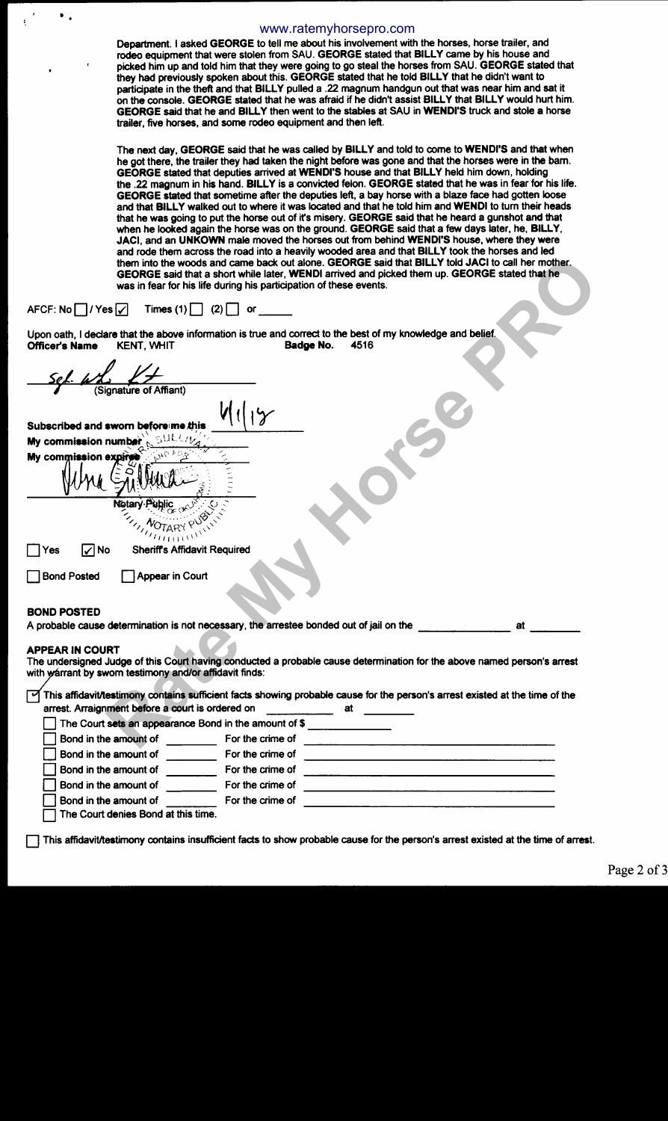### www.ratemyhorsepro.com

Department. I asked GEORGE to tell me about his involvement with the horses, horse trailer, and rodeo equipment that were stolen from SAU. GEORGE stated that BILLY came by his house and picked him up and told him that they were going to go steal the horses from SAU. GEORGE stated that they had previously spoken about this. GEORGE stated that he told BILLY that he didn't want to participate in the theft and that BILLY pulled a .22 magnum handgun out that was near him and sat it on the console. GEORGE stated that he was afraid if he didn't assist BILLY that BILLY would hurt him. GEORGE said that he and BILLY then went to the stables at SAU in WENDI'S truck and stole a horse trailer, five horses, and some rodeo equipment and then left.

The next day, GEORGE said that he was called by BILLY and told to come to WENDI'S and that when he got there, the trailer they had taken the night before was gone and that the horses were in the bam. GEORGE stated that deputies arrived at WENDI'S house and that BILLY held him down, holding the .22 magnum in his hand. BILLY is a convicted felon. GEORGE stated that he was in fear for his life. GEORGE stated that sometime after the deputies left, a bay horse with a blaze face had gotten loose and that BILLY walked out to where it was located and that he told him and WENDI to tum their heads that he was going to put the horse out of it's misery. GEORGE said that he heard a gunshot and that when he looked again the horse was on the ground. GEORGE said that a few days later, he, BILLY, JACI, and an UNKOWN male moved the horses out from behind WENDI'S house, where they were and rode them across the road into a heavily wooded area and that BILLY took the horses and led them into the woods and came back out alone. GEORGE said that BILLY told JACI to call her mother. GEORGE said that a short while later, WENDI arrived and picked them up. GEORGE stated that he was in fear for his life during his participation of these events.

# AFCF: No  $\boxed{\phantom{a}}$  / Yes  $\boxed{\checkmark}$  Times (1)  $\boxed{\phantom{a}}$  (2)  $\boxed{\phantom{a}}$  or

•

| them into the woods and came back out alone. GEORGE said that BILLY told JACI to call her mother.<br>GEORGE said that a short while later, WENDI arrived and picked them up. GEORGE stated that he<br>was in fear for his life during his participation of these events. |
|--------------------------------------------------------------------------------------------------------------------------------------------------------------------------------------------------------------------------------------------------------------------------|
| AFCF: No $\Box$ / Yes $\Box$<br>Times $(1)$ $(2)$<br>or                                                                                                                                                                                                                  |
| Upon oath, I declare that the above information is true and correct to the best of my knowledge and belief.<br>Officer's Name<br><b>KENT, WHIT</b><br>Badge No.<br>4516                                                                                                  |
|                                                                                                                                                                                                                                                                          |
| Signature of Affiant)                                                                                                                                                                                                                                                    |
| Subscribed and sworn before me this                                                                                                                                                                                                                                      |
| My commission number                                                                                                                                                                                                                                                     |
| My commission expires                                                                                                                                                                                                                                                    |
|                                                                                                                                                                                                                                                                          |
| Notary Public                                                                                                                                                                                                                                                            |
| NOTARY P<br>$a_{\rm HHHW}$                                                                                                                                                                                                                                               |
| <b>Sheriff's Affidavit Required</b><br>l∕ No<br>Yes                                                                                                                                                                                                                      |
| <b>Bond Posted</b><br>Appear in Court                                                                                                                                                                                                                                    |
| <b>BOND POSTED</b>                                                                                                                                                                                                                                                       |
| A probable cause determination is not necessary, the arrestee bonded out of jail on the<br>at                                                                                                                                                                            |
| APPEAR IN COURT<br>The undersigned Judge of this Court having conducted a probable cause determination for the above named person's arrest<br>with warrant by sworn testimony and/or affidavit finds:                                                                    |
| This affidavit/testimony contains sufficient facts showing probable cause for the person's arrest existed at the time of the<br>arrest. Arraignment before a court is ordered on                                                                                         |
| The Court sets an appearance Bond in the amount of \$                                                                                                                                                                                                                    |
| Bond in the amount of<br>For the crime of                                                                                                                                                                                                                                |
| Bond in the amount of<br>For the crime of                                                                                                                                                                                                                                |
| Bond in the amount of<br>For the crime of                                                                                                                                                                                                                                |
| Bond in the amount of<br>For the crime of                                                                                                                                                                                                                                |
| Bond in the amount of<br>For the crime of                                                                                                                                                                                                                                |

 $\Box$  The Court denies Bond at this time.

D This affidavit/testimony contains insufficient facts to show probable cause for the person's arrest existed at the time of arrest.